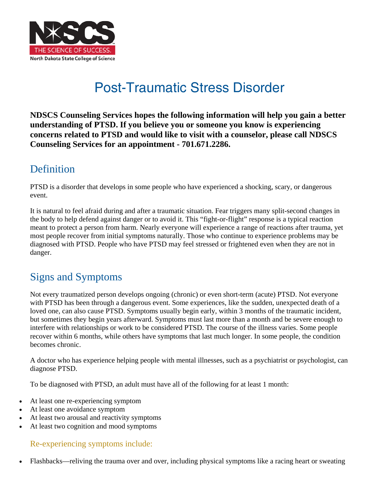

# Post-Traumatic Stress Disorder

**NDSCS Counseling Services hopes the following information will help you gain a better understanding of PTSD. If you believe you or someone you know is experiencing concerns related to PTSD and would like to visit with a counselor, please call NDSCS Counseling Services for an appointment - 701.671.2286.** 

# **Definition**

PTSD is a disorder that develops in some people who have experienced a shocking, scary, or dangerous event.

It is natural to feel afraid during and after a traumatic situation. Fear triggers many split-second changes in the body to help defend against danger or to avoid it. This "fight-or-flight" response is a typical reaction meant to protect a person from harm. Nearly everyone will experience a range of reactions after trauma, yet most people recover from initial symptoms naturally. Those who continue to experience problems may be diagnosed with PTSD. People who have PTSD may feel stressed or frightened even when they are not in danger.

# Signs and Symptoms

Not every traumatized person develops ongoing (chronic) or even short-term (acute) PTSD. Not everyone with PTSD has been through a dangerous event. Some experiences, like the sudden, unexpected death of a loved one, can also cause PTSD. Symptoms usually begin early, within 3 months of the traumatic incident, but sometimes they begin years afterward. Symptoms must last more than a month and be severe enough to interfere with relationships or work to be considered PTSD. The course of the illness varies. Some people recover within 6 months, while others have symptoms that last much longer. In some people, the condition becomes chronic.

A doctor who has experience helping people with mental illnesses, such as a psychiatrist or psychologist, can diagnose PTSD.

To be diagnosed with PTSD, an adult must have all of the following for at least 1 month:

- At least one re-experiencing symptom
- At least one avoidance symptom
- At least two arousal and reactivity symptoms
- At least two cognition and mood symptoms

### Re-experiencing symptoms include:

Flashbacks—reliving the trauma over and over, including physical symptoms like a racing heart or sweating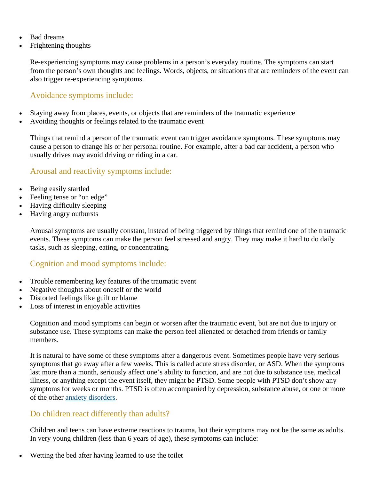- Bad dreams
- Frightening thoughts

Re-experiencing symptoms may cause problems in a person's everyday routine. The symptoms can start from the person's own thoughts and feelings. Words, objects, or situations that are reminders of the event can also trigger re-experiencing symptoms.

### Avoidance symptoms include:

- Staying away from places, events, or objects that are reminders of the traumatic experience
- Avoiding thoughts or feelings related to the traumatic event

Things that remind a person of the traumatic event can trigger avoidance symptoms. These symptoms may cause a person to change his or her personal routine. For example, after a bad car accident, a person who usually drives may avoid driving or riding in a car.

# Arousal and reactivity symptoms include:

- Being easily startled
- Feeling tense or "on edge"
- Having difficulty sleeping
- Having angry outbursts

Arousal symptoms are usually constant, instead of being triggered by things that remind one of the traumatic events. These symptoms can make the person feel stressed and angry. They may make it hard to do daily tasks, such as sleeping, eating, or concentrating.

### Cognition and mood symptoms include:

- Trouble remembering key features of the traumatic event
- Negative thoughts about oneself or the world
- Distorted feelings like guilt or blame
- Loss of interest in enjoyable activities

Cognition and mood symptoms can begin or worsen after the traumatic event, but are not due to injury or substance use. These symptoms can make the person feel alienated or detached from friends or family members.

It is natural to have some of these symptoms after a dangerous event. Sometimes people have very serious symptoms that go away after a few weeks. This is called acute stress disorder, or ASD. When the symptoms last more than a month, seriously affect one's ability to function, and are not due to substance use, medical illness, or anything except the event itself, they might be PTSD. Some people with PTSD don't show any symptoms for weeks or months. PTSD is often accompanied by depression, substance abuse, or one or more of the other anxiety disorders.

### Do children react differently than adults?

Children and teens can have extreme reactions to trauma, but their symptoms may not be the same as adults. In very young children (less than 6 years of age), these symptoms can include:

Wetting the bed after having learned to use the toilet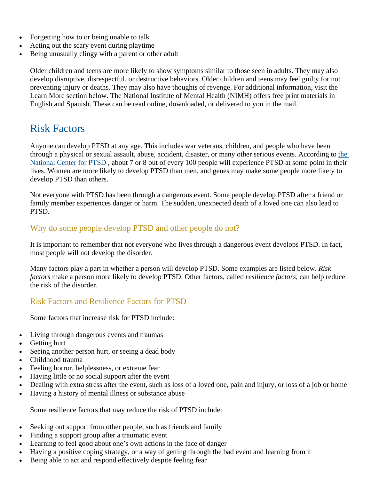- Forgetting how to or being unable to talk
- Acting out the scary event during playtime
- Being unusually clingy with a parent or other adult

Older children and teens are more likely to show symptoms similar to those seen in adults. They may also develop disruptive, disrespectful, or destructive behaviors. Older children and teens may feel guilty for not preventing injury or deaths. They may also have thoughts of revenge. For additional information, visit the Learn More section below. The National Institute of Mental Health (NIMH) offers free print materials in English and Spanish. These can be read online, downloaded, or delivered to you in the mail.

# Risk Factors

Anyone can develop PTSD at any age. This includes war veterans, children, and people who have been through a physical or sexual assault, abuse, accident, disaster, or many other serious events. According to the National Center for PTSD , about 7 or 8 out of every 100 people will experience PTSD at some point in their lives. Women are more likely to develop PTSD than men, and genes may make some people more likely to develop PTSD than others.

Not everyone with PTSD has been through a dangerous event. Some people develop PTSD after a friend or family member experiences danger or harm. The sudden, unexpected death of a loved one can also lead to PTSD.

### Why do some people develop PTSD and other people do not?

It is important to remember that not everyone who lives through a dangerous event develops PTSD. In fact, most people will not develop the disorder.

Many factors play a part in whether a person will develop PTSD. Some examples are listed below. *Risk factors* make a person more likely to develop PTSD. Other factors, called *resilience factors*, can help reduce the risk of the disorder.

### Risk Factors and Resilience Factors for PTSD

Some factors that increase risk for PTSD include:

- Living through dangerous events and traumas
- Getting hurt
- Seeing another person hurt, or seeing a dead body
- Childhood trauma
- Feeling horror, helplessness, or extreme fear
- Having little or no social support after the event
- Dealing with extra stress after the event, such as loss of a loved one, pain and injury, or loss of a job or home
- Having a history of mental illness or substance abuse

Some resilience factors that may reduce the risk of PTSD include:

- Seeking out support from other people, such as friends and family
- Finding a support group after a traumatic event
- Learning to feel good about one's own actions in the face of danger
- Having a positive coping strategy, or a way of getting through the bad event and learning from it
- Being able to act and respond effectively despite feeling fear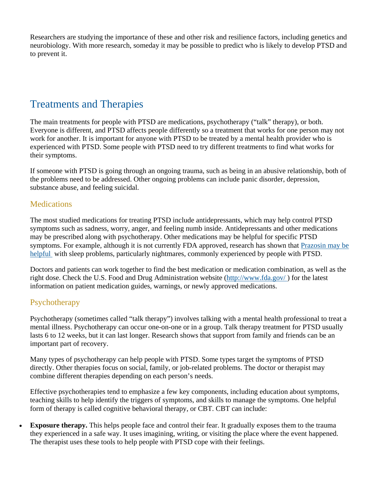Researchers are studying the importance of these and other risk and resilience factors, including genetics and neurobiology. With more research, someday it may be possible to predict who is likely to develop PTSD and to prevent it.

# Treatments and Therapies

The main treatments for people with PTSD are medications, psychotherapy ("talk" therapy), or both. Everyone is different, and PTSD affects people differently so a treatment that works for one person may not work for another. It is important for anyone with PTSD to be treated by a mental health provider who is experienced with PTSD. Some people with PTSD need to try different treatments to find what works for their symptoms.

If someone with PTSD is going through an ongoing trauma, such as being in an abusive relationship, both of the problems need to be addressed. Other ongoing problems can include panic disorder, depression, substance abuse, and feeling suicidal.

### **Medications**

The most studied medications for treating PTSD include antidepressants, which may help control PTSD symptoms such as sadness, worry, anger, and feeling numb inside. Antidepressants and other medications may be prescribed along with psychotherapy. Other medications may be helpful for specific PTSD symptoms. For example, although it is not currently FDA approved, research has shown that Prazosin may be helpful with sleep problems, particularly nightmares, commonly experienced by people with PTSD.

Doctors and patients can work together to find the best medication or medication combination, as well as the right dose. Check the U.S. Food and Drug Administration website (http://www.fda.gov/ ) for the latest information on patient medication guides, warnings, or newly approved medications.

# Psychotherapy

Psychotherapy (sometimes called "talk therapy") involves talking with a mental health professional to treat a mental illness. Psychotherapy can occur one-on-one or in a group. Talk therapy treatment for PTSD usually lasts 6 to 12 weeks, but it can last longer. Research shows that support from family and friends can be an important part of recovery.

Many types of psychotherapy can help people with PTSD. Some types target the symptoms of PTSD directly. Other therapies focus on social, family, or job-related problems. The doctor or therapist may combine different therapies depending on each person's needs.

Effective psychotherapies tend to emphasize a few key components, including education about symptoms, teaching skills to help identify the triggers of symptoms, and skills to manage the symptoms. One helpful form of therapy is called cognitive behavioral therapy, or CBT. CBT can include:

 **Exposure therapy.** This helps people face and control their fear. It gradually exposes them to the trauma they experienced in a safe way. It uses imagining, writing, or visiting the place where the event happened. The therapist uses these tools to help people with PTSD cope with their feelings.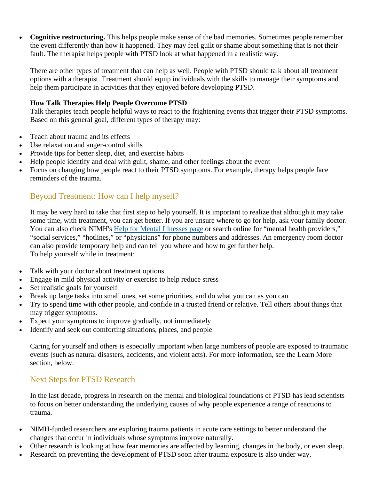**Cognitive restructuring.** This helps people make sense of the bad memories. Sometimes people remember the event differently than how it happened. They may feel guilt or shame about something that is not their fault. The therapist helps people with PTSD look at what happened in a realistic way.

There are other types of treatment that can help as well. People with PTSD should talk about all treatment options with a therapist. Treatment should equip individuals with the skills to manage their symptoms and help them participate in activities that they enjoyed before developing PTSD.

### **How Talk Therapies Help People Overcome PTSD**

Talk therapies teach people helpful ways to react to the frightening events that trigger their PTSD symptoms. Based on this general goal, different types of therapy may:

- Teach about trauma and its effects
- Use relaxation and anger-control skills
- Provide tips for better sleep, diet, and exercise habits
- Help people identify and deal with guilt, shame, and other feelings about the event
- Focus on changing how people react to their PTSD symptoms. For example, therapy helps people face reminders of the trauma.

# Beyond Treatment: How can I help myself?

It may be very hard to take that first step to help yourself. It is important to realize that although it may take some time, with treatment, you can get better. If you are unsure where to go for help, ask your family doctor. You can also check NIMH's Help for Mental Illnesses page or search online for "mental health providers," "social services," "hotlines," or "physicians" for phone numbers and addresses. An emergency room doctor can also provide temporary help and can tell you where and how to get further help. To help yourself while in treatment:

- Talk with your doctor about treatment options
- Engage in mild physical activity or exercise to help reduce stress
- Set realistic goals for yourself
- Break up large tasks into small ones, set some priorities, and do what you can as you can
- Try to spend time with other people, and confide in a trusted friend or relative. Tell others about things that may trigger symptoms.
- Expect your symptoms to improve gradually, not immediately
- Identify and seek out comforting situations, places, and people

Caring for yourself and others is especially important when large numbers of people are exposed to traumatic events (such as natural disasters, accidents, and violent acts). For more information, see the Learn More section, below.

# Next Steps for PTSD Research

In the last decade, progress in research on the mental and biological foundations of PTSD has lead scientists to focus on better understanding the underlying causes of why people experience a range of reactions to trauma.

- NIMH-funded researchers are exploring trauma patients in acute care settings to better understand the changes that occur in individuals whose symptoms improve naturally.
- Other research is looking at how fear memories are affected by learning, changes in the body, or even sleep.
- Research on preventing the development of PTSD soon after trauma exposure is also under way.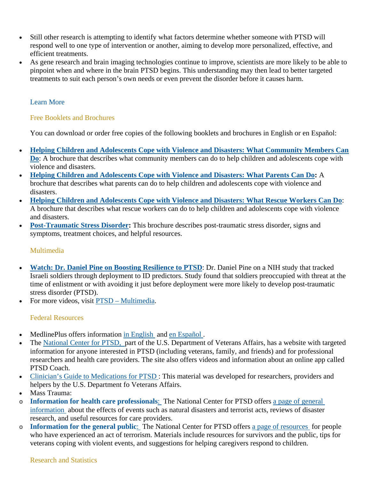- Still other research is attempting to identify what factors determine whether someone with PTSD will respond well to one type of intervention or another, aiming to develop more personalized, effective, and efficient treatments.
- As gene research and brain imaging technologies continue to improve, scientists are more likely to be able to pinpoint when and where in the brain PTSD begins. This understanding may then lead to better targeted treatments to suit each person's own needs or even prevent the disorder before it causes harm.

#### Learn More

#### Free Booklets and Brochures

You can download or order free copies of the following booklets and brochures in English or en Español:

- **Helping Children and Adolescents Cope with Violence and Disasters: What Community Members Can Do**: A brochure that describes what community members can do to help children and adolescents cope with violence and disasters.
- **Helping Children and Adolescents Cope with Violence and Disasters: What Parents Can Do:** A brochure that describes what parents can do to help children and adolescents cope with violence and disasters.
- **Helping Children and Adolescents Cope with Violence and Disasters: What Rescue Workers Can Do**: A brochure that describes what rescue workers can do to help children and adolescents cope with violence and disasters.
- **Post-Traumatic Stress Disorder:** This brochure describes post-traumatic stress disorder, signs and symptoms, treatment choices, and helpful resources.

#### Multimedia

- **Watch: Dr. Daniel Pine on Boosting Resilience to PTSD**: Dr. Daniel Pine on a NIH study that tracked Israeli soldiers through deployment to ID predictors. Study found that soldiers preoccupied with threat at the time of enlistment or with avoiding it just before deployment were more likely to develop post-traumatic stress disorder (PTSD).
- For more videos, visit PTSD Multimedia.

#### Federal Resources

- MedlinePlus offers information in English and en Español.
- The National Center for PTSD, part of the U.S. Department of Veterans Affairs, has a website with targeted information for anyone interested in PTSD (including veterans, family, and friends) and for professional researchers and health care providers. The site also offers videos and information about an online app called PTSD Coach.
- Clinician's Guide to Medications for PTSD : This material was developed for researchers, providers and helpers by the U.S. Department fo Veterans Affairs.
- Mass Trauma:
- o **Information for health care professionals**: The National Center for PTSD offers a page of general information about the effects of events such as natural disasters and terrorist acts, reviews of disaster research, and useful resources for care providers.
- **Information for the general public:** The National Center for PTSD offers a page of resources for people who have experienced an act of terrorism. Materials include resources for survivors and the public, tips for veterans coping with violent events, and suggestions for helping caregivers respond to children.